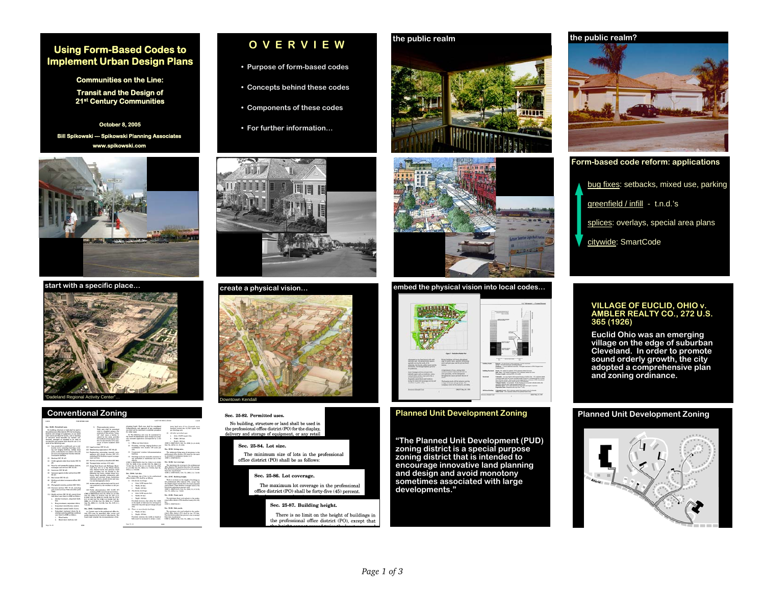### **Using Form-Based Codes to Using Form-Based Codes to Implement Urban Design Plans Implement Urban Design Plans**

**Communities on the Line:**

**Transit and the Design of 21st Century Communities**

**Bill Spikowski --- Spikowski Planning Associates www.spikowski.com October 8, 2005**



**start with a specific place…**





# **O V E R V I E W**

- **• Purpose of form-based codes**
- **• Concepts behind these codes**
- **• Components of these codes**
- **• For further information…**





No building, structure or land shall be used in the professional office district (PO) for the display, delivery and storage of equipment, or any retail

Sec. 25-84. Lot size.

The minimum size of lots in the professional office district (PO) shall be as follows:

Sec. 25-86. Lot coverage.

The maximum lot coverage in the professional office district (PO) shall be forty-five (45) percent.

Sec. 25-87. Building height.

There is no limit on the height of buildings in<br>the professional office district (PO), except that





**create a physical vision… embed the physical vision into local codes…**



### **Conventional Zoning Planned Unit Development Zoning Planned Unit Development Zoning**

**"The Planned Unit Development (PUD) zoning district is a special purpose zoning district that is intended to encourage innovative land planning and design and avoid monotony sometimes associated with large developments."**



**Form-based code reform: applications**

- bug fixes: setbacks, mixed use, parking
- greenfield / infill t.n.d.'s

splices: overlays, special area plans

citywide: SmartCode

### **VILLAGE OF EUCLID, OHIO v. AMBLER REALTY CO., 272 U.S. 365 (1926)**

**Euclid Ohio was an emerging village on the edge of suburban Cleveland. In order to promote sound orderly growth, the city adopted a comprehensive plan and zoning ordinance.** 

### **Planned Unit Development Zoning**

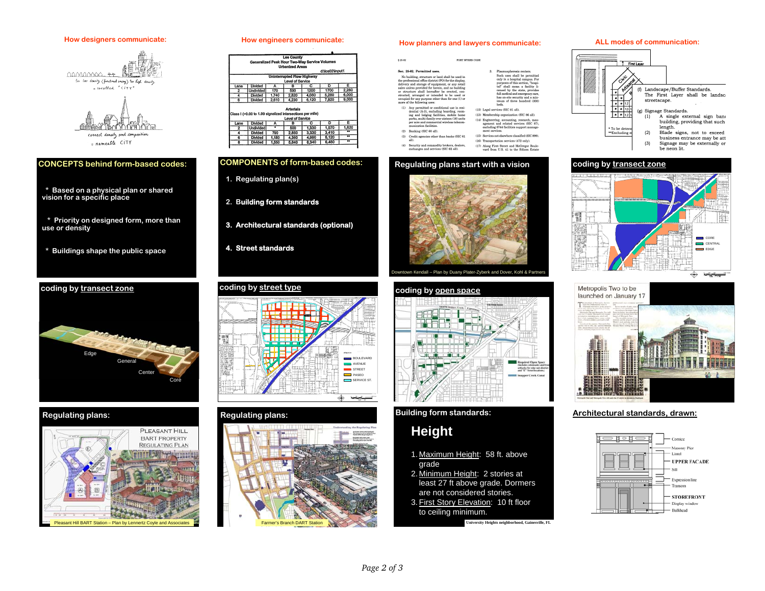

### **Regulating plans:**



# **How designers communicate: How engineers communicate: How planners and lawyers communicate: ALL modes of communication:**

|                                          |                                                           |       | <b>Lee County</b><br>Generalized Peak Hour Two-Way Service Volumes |       |           |                                       |
|------------------------------------------|-----------------------------------------------------------|-------|--------------------------------------------------------------------|-------|-----------|---------------------------------------|
| <b>Urbanized Areas</b><br>d:Vos02Vinput1 |                                                           |       |                                                                    |       |           |                                       |
|                                          |                                                           |       | <b>Uninterrupted Flow Highway</b><br><b>Level of Service</b>       |       |           |                                       |
| Lane                                     | Divided                                                   | А     | в                                                                  | с     | n         | ε                                     |
| 2                                        | Undivided                                                 | 170   | 590                                                                | 1200  | 1700      | 2,280                                 |
| 4                                        | <b>Divided</b>                                            | 1.740 | 2,820                                                              | 4.080 | 5.280     | 6,000                                 |
| 6                                        | Divided                                                   | 2,610 | 4.230                                                              | 6.120 | 7.920     | 9,000                                 |
|                                          |                                                           |       | <b>Arterials</b>                                                   |       |           |                                       |
|                                          | Class I (>0.00 to 1.99 signalized intersections per mile) |       | <b>Level of Service</b>                                            |       |           |                                       |
| Lane                                     | Divided                                                   | Α     | в                                                                  | с     | n         | E                                     |
| $\overline{2}$                           | Undivided                                                 |       | 500                                                                | 1.330 | $1.570 -$ | 1.620                                 |
| 4                                        | Divided                                                   | 790   | 2.860                                                              | 3,330 | 3.410     |                                       |
| 6                                        | Divided                                                   | 1.180 | 4.360                                                              | 4.990 | 5,120     | $\overline{\phantom{a}}$<br>$\bullet$ |

## **1. Regulating plan(s) COMPONENTS of form-based codes:**

- **2. Building form standards**
- **3. Architectural standards (optional)**
- **4. Street standards**



### **Regulating plans:**



| 4 25 82                     | <b>FORT MYERS CODE</b>                                                                                                                                                                                                                                                                                                                                                                                   |                                                                                                                                                                                                                                                                                       |
|-----------------------------|----------------------------------------------------------------------------------------------------------------------------------------------------------------------------------------------------------------------------------------------------------------------------------------------------------------------------------------------------------------------------------------------------------|---------------------------------------------------------------------------------------------------------------------------------------------------------------------------------------------------------------------------------------------------------------------------------------|
| Sec. 25-82. Permitted uses. |                                                                                                                                                                                                                                                                                                                                                                                                          | s.<br>Plasmaspheresis centers.                                                                                                                                                                                                                                                        |
|                             | No building, structure or land shall be used in<br>the professional office district (PO) for the display,<br>delivery and storage of equipment, or any retail<br>sales unless provided for herein, and no building<br>or structure shall hereafter be erected, con-<br>structed, arranged or intended to be used or<br>occupied for any purpose other than for one (1) or<br>more of the following uses: | Such uses shall be permitted<br>only in a hospital campus. For<br>purposes of this section, "hospi-<br>tal" shall mean a facility li-<br>censed by the state, provides<br>full medical and emergency care.<br>has on-site security and a min-<br>imum of three hundred (300)<br>heds. |
| (1)                         | Any permitted or conditional use in resi-<br>dential (A-3), excluding boarding, room-<br>ing and lodging facilities, mobile home                                                                                                                                                                                                                                                                         | (12) Legal services (SIC 81 all).                                                                                                                                                                                                                                                     |
|                             |                                                                                                                                                                                                                                                                                                                                                                                                          | (13) Membership organization (SIC 86 all).                                                                                                                                                                                                                                            |
|                             | parks, multi-family over sixteen (16) units<br>per acre and commercial wireless telecom-<br>munication facilities.                                                                                                                                                                                                                                                                                       | (14) Engineering, accounting, research, man-<br>agement and related services (SIC 87).<br>excluding 8744 facilities support manage-                                                                                                                                                   |
| (2)                         | Banking (SIC 60 all).                                                                                                                                                                                                                                                                                                                                                                                    | ment services.                                                                                                                                                                                                                                                                        |
| (3)                         | Credit agencies other than banks (SIC 61<br>all).                                                                                                                                                                                                                                                                                                                                                        | (15) Services not elsewhere classified (SIC 899).                                                                                                                                                                                                                                     |
|                             |                                                                                                                                                                                                                                                                                                                                                                                                          | (16) Transportation services (472 only).                                                                                                                                                                                                                                              |
| 645                         | Security and commodity brokers, dealers,<br>exchanges and services (SIC 62 all).                                                                                                                                                                                                                                                                                                                         | (17) Along First Street and McGregor Boule-<br>vard from U.S. 41 to the Edison Estate                                                                                                                                                                                                 |

### **Regulating plans start with a vision**



wntown Kendall – Plan by Duany Plater-Zyberk and Dover, Kohl & Partne



### **Building form standards:**

# **Height**

- 1. Maximum Height: 58 ft. above grade
- least 27 ft above grade. Dormers 2. Minimum Height: 2 stories at are not considered stories.
- 3. <u>First Story Elevation</u>: 10 ft floor to ceiling minimum.

**University Heights neighborhood, Gainesville, FL**



### **coding by transect zone**





### **Architectural standards, drawn:**